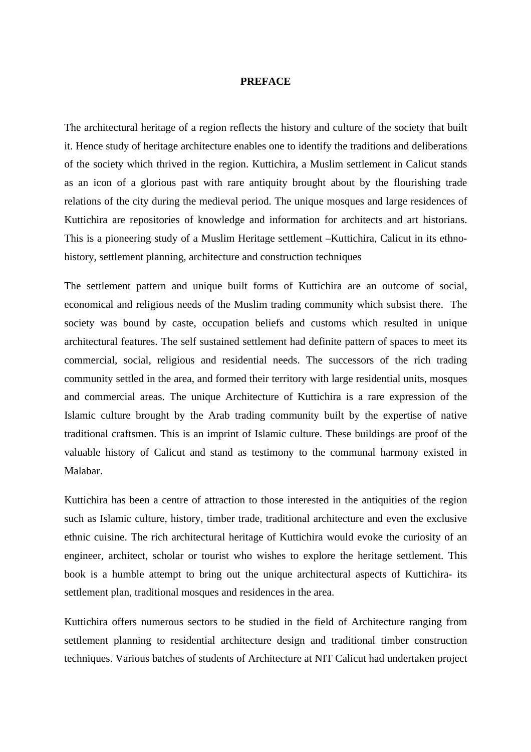## **PREFACE**

The architectural heritage of a region reflects the history and culture of the society that built it. Hence study of heritage architecture enables one to identify the traditions and deliberations of the society which thrived in the region. Kuttichira, a Muslim settlement in Calicut stands as an icon of a glorious past with rare antiquity brought about by the flourishing trade relations of the city during the medieval period. The unique mosques and large residences of Kuttichira are repositories of knowledge and information for architects and art historians. This is a pioneering study of a Muslim Heritage settlement –Kuttichira, Calicut in its ethnohistory, settlement planning, architecture and construction techniques

The settlement pattern and unique built forms of Kuttichira are an outcome of social, economical and religious needs of the Muslim trading community which subsist there. The society was bound by caste, occupation beliefs and customs which resulted in unique architectural features. The self sustained settlement had definite pattern of spaces to meet its commercial, social, religious and residential needs. The successors of the rich trading community settled in the area, and formed their territory with large residential units, mosques and commercial areas. The unique Architecture of Kuttichira is a rare expression of the Islamic culture brought by the Arab trading community built by the expertise of native traditional craftsmen. This is an imprint of Islamic culture. These buildings are proof of the valuable history of Calicut and stand as testimony to the communal harmony existed in Malabar.

Kuttichira has been a centre of attraction to those interested in the antiquities of the region such as Islamic culture, history, timber trade, traditional architecture and even the exclusive ethnic cuisine. The rich architectural heritage of Kuttichira would evoke the curiosity of an engineer, architect, scholar or tourist who wishes to explore the heritage settlement. This book is a humble attempt to bring out the unique architectural aspects of Kuttichira- its settlement plan, traditional mosques and residences in the area.

Kuttichira offers numerous sectors to be studied in the field of Architecture ranging from settlement planning to residential architecture design and traditional timber construction techniques. Various batches of students of Architecture at NIT Calicut had undertaken project